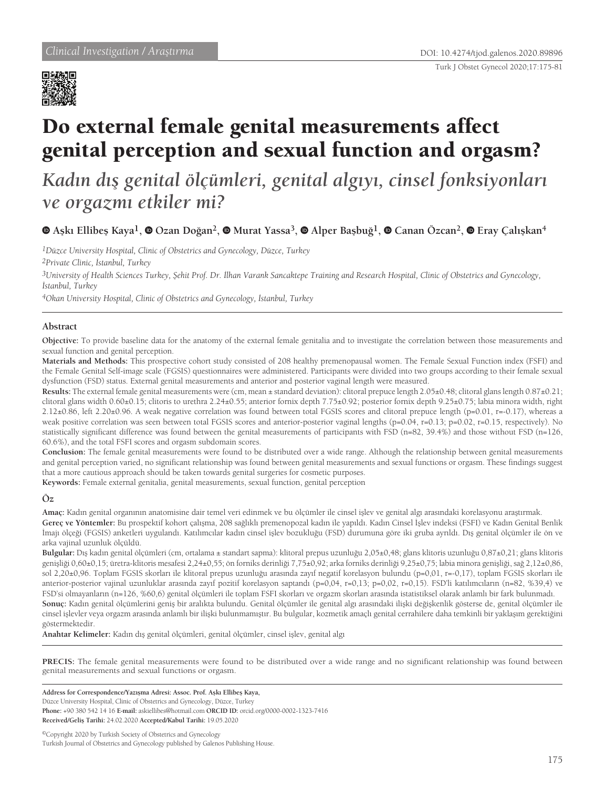

# Do external female genital measurements affect genital perception and sexual function and orgasm?

## *Kadın dış genital ölçümleri, genital algıyı, cinsel fonksiyonları ve orgazmı etkiler mi?*

### **Aşkı Ellibeş Kaya1, Ozan Doğan2, Murat Yassa3, Alper Başbuğ1, Canan Özcan2,Eray Çalışkan<sup>4</sup>**

*1Düzce University Hospital, Clinic of Obstetrics and Gynecology, Düzce, Turkey*

*2Private Clinic, İstanbul, Turkey*

*3University of Health Sciences Turkey, Şehit Prof. Dr. İlhan Varank Sancaktepe Training and Research Hospital, Clinic of Obstetrics and Gynecology, İstanbul, Turkey*

*4Okan University Hospital, Clinic of Obstetrics and Gynecology, İstanbul, Turkey*

#### **Abstract**

**Objective:** To provide baseline data for the anatomy of the external female genitalia and to investigate the correlation between those measurements and sexual function and genital perception.

**Materials and Methods:** This prospective cohort study consisted of 208 healthy premenopausal women. The Female Sexual Function index (FSFI) and the Female Genital Self-image scale (FGSIS) questionnaires were administered. Participants were divided into two groups according to their female sexual dysfunction (FSD) status. External genital measurements and anterior and posterior vaginal length were measured.

**Results:** The external female genital measurements were (cm, mean ± standard deviation): clitoral prepuce length 2.05±0.48; clitoral glans length 0.87±0.21; clitoral glans width 0.60±0.15; clitoris to urethra 2.24±0.55; anterior fornix depth 7.75±0.92; posterior fornix depth 9.25±0.75; labia minora width, right 2.12±0.86, left 2.20±0.96. A weak negative correlation was found between total FGSIS scores and clitoral prepuce length (p=0.01, r=-0.17), whereas a weak positive correlation was seen between total FGSIS scores and anterior-posterior vaginal lengths (p=0.04, r=0.13; p=0.02, r=0.15, respectively). No statistically significant difference was found between the genital measurements of participants with FSD (n=82, 39.4%) and those without FSD (n=126, 60.6%), and the total FSFI scores and orgasm subdomain scores.

**Conclusion:** The female genital measurements were found to be distributed over a wide range. Although the relationship between genital measurements and genital perception varied, no significant relationship was found between genital measurements and sexual functions or orgasm. These findings suggest that a more cautious approach should be taken towards genital surgeries for cosmetic purposes.

**Keywords:** Female external genitalia, genital measurements, sexual function, genital perception

#### **Öz**

**Amaç:** Kadın genital organının anatomisine dair temel veri edinmek ve bu ölçümler ile cinsel işlev ve genital algı arasındaki korelasyonu araştırmak.

**Gereç ve Yöntemler:** Bu prospektif kohort çalışma, 208 sağlıklı premenopozal kadın ile yapıldı. Kadın Cinsel İşlev indeksi (FSFI) ve Kadın Genital Benlik İmajı ölçeği (FGSIS) anketleri uygulandı. Katılımcılar kadın cinsel işlev bozukluğu (FSD) durumuna göre iki gruba ayrıldı. Dış genital ölçümler ile ön ve arka vajinal uzunluk ölçüldü.

**Bulgular:** Dış kadın genital ölçümleri (cm, ortalama ± standart sapma): klitoral prepus uzunluğu 2,05±0,48; glans klitoris uzunluğu 0,87±0,21; glans klitoris genişliği 0,60±0,15; üretra-klitoris mesafesi 2,24±0,55; ön forniks derinliği 7,75±0,92; arka forniks derinliği 9,25±0,75; labia minora genişliği, sağ 2,12±0,86, sol 2,20±0,96. Toplam FGSIS skorları ile klitoral prepus uzunluğu arasında zayıf negatif korelasyon bulundu (p=0,01, r=-0,17), toplam FGSIS skorları ile anterior-posterior vajinal uzunluklar arasında zayıf pozitif korelasyon saptandı (p=0,04, r=0,13; p=0,02, r=0,15). FSD'li katılımcıların (n=82, %39,4) ve FSD'si olmayanların (n=126, %60,6) genital ölçümleri ile toplam FSFI skorları ve orgazm skorları arasında istatistiksel olarak anlamlı bir fark bulunmadı. **Sonuç:** Kadın genital ölçümlerini geniş bir aralıkta bulundu. Genital ölçümler ile genital algı arasındaki ilişki değişkenlik gösterse de, genital ölçümler ile cinsel işlevler veya orgazm arasında anlamlı bir ilişki bulunmamıştır. Bu bulgular, kozmetik amaçlı genital cerrahilere daha temkinli bir yaklaşım gerektiğini göstermektedir.

**Anahtar Kelimeler:** Kadın dış genital ölçümleri, genital ölçümler, cinsel işlev, genital algı

**PRECIS:** The female genital measurements were found to be distributed over a wide range and no significant relationship was found between genital measurements and sexual functions or orgasm.

**Address for Correspondence/Yazışma Adresi: Assoc. Prof. Aşkı Ellibeş Kaya,**  Düzce University Hospital, Clinic of Obstetrics and Gynecology, Düzce, Turkey **Phone:** +90 380 542 14 16 **E-mail:** askiellibes@hotmail.com **ORCID ID:** orcid.org/0000-0002-1323-7416 **Received/Geliş Tarihi:** 24.02.2020 **Accepted/Kabul Tarihi:** 19.05.2020

©Copyright 2020 by Turkish Society of Obstetrics and Gynecology Turkish Journal of Obstetrics and Gynecology published by Galenos Publishing House.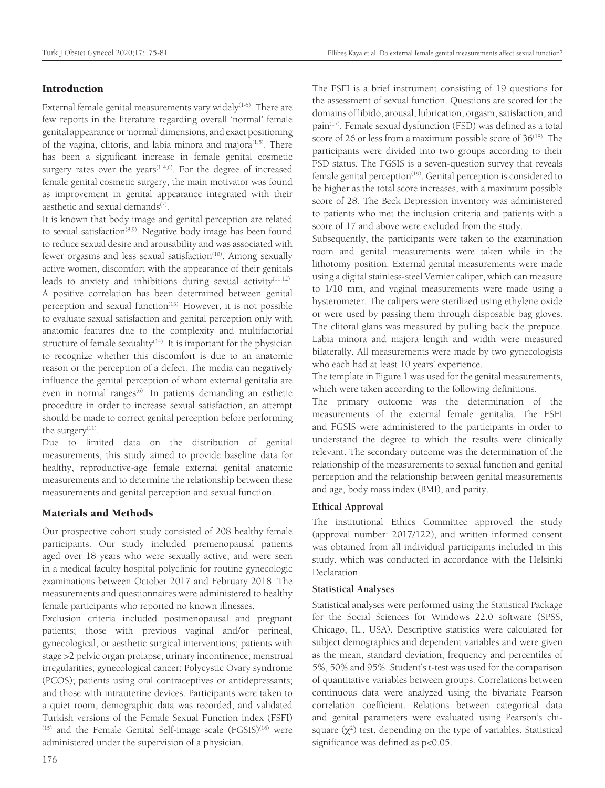#### Introduction

External female genital measurements vary widely $(1-5)$ . There are few reports in the literature regarding overall 'normal' female genital appearance or 'normal' dimensions, and exact positioning of the vagina, clitoris, and labia minora and majora $(1,5)$ . There has been a significant increase in female genital cosmetic surgery rates over the years $(1-4,6)$ . For the degree of increased female genital cosmetic surgery, the main motivator was found as improvement in genital appearance integrated with their aesthetic and sexual demands $(7)$ .

It is known that body image and genital perception are related to sexual satisfaction<sup>(8,9)</sup>. Negative body image has been found to reduce sexual desire and arousability and was associated with fewer orgasms and less sexual satisfaction<sup>(10)</sup>. Among sexually active women, discomfort with the appearance of their genitals leads to anxiety and inhibitions during sexual activity $(11,12)$ . A positive correlation has been determined between genital perception and sexual function<sup>(13).</sup> However, it is not possible to evaluate sexual satisfaction and genital perception only with anatomic features due to the complexity and multifactorial structure of female sexuality<sup> $(14)$ </sup>. It is important for the physician to recognize whether this discomfort is due to an anatomic reason or the perception of a defect. The media can negatively influence the genital perception of whom external genitalia are even in normal ranges<sup>(6)</sup>. In patients demanding an esthetic procedure in order to increase sexual satisfaction, an attempt should be made to correct genital perception before performing the surgery<sup>(11)</sup>.

Due to limited data on the distribution of genital measurements, this study aimed to provide baseline data for healthy, reproductive-age female external genital anatomic measurements and to determine the relationship between these measurements and genital perception and sexual function.

#### Materials and Methods

Our prospective cohort study consisted of 208 healthy female participants. Our study included premenopausal patients aged over 18 years who were sexually active, and were seen in a medical faculty hospital polyclinic for routine gynecologic examinations between October 2017 and February 2018. The measurements and questionnaires were administered to healthy female participants who reported no known illnesses.

Exclusion criteria included postmenopausal and pregnant patients; those with previous vaginal and/or perineal, gynecological, or aesthetic surgical interventions; patients with stage >2 pelvic organ prolapse; urinary incontinence; menstrual irregularities; gynecological cancer; Polycystic Ovary syndrome (PCOS); patients using oral contraceptives or antidepressants; and those with intrauterine devices. Participants were taken to a quiet room, demographic data was recorded, and validated Turkish versions of the Female Sexual Function index (FSFI)  $(15)$  and the Female Genital Self-image scale  $(FGSIS)^{(16)}$  were administered under the supervision of a physician.

The FSFI is a brief instrument consisting of 19 questions for the assessment of sexual function. Questions are scored for the domains of libido, arousal, lubrication, orgasm, satisfaction, and pain<sup>(17)</sup>. Female sexual dysfunction (FSD) was defined as a total score of 26 or less from a maximum possible score of 36<sup>(18)</sup>. The participants were divided into two groups according to their FSD status. The FGSIS is a seven-question survey that reveals female genital perception<sup>(19)</sup>. Genital perception is considered to be higher as the total score increases, with a maximum possible score of 28. The Beck Depression inventory was administered to patients who met the inclusion criteria and patients with a score of 17 and above were excluded from the study.

Subsequently, the participants were taken to the examination room and genital measurements were taken while in the lithotomy position. External genital measurements were made using a digital stainless-steel Vernier caliper, which can measure to 1/10 mm, and vaginal measurements were made using a hysterometer. The calipers were sterilized using ethylene oxide or were used by passing them through disposable bag gloves. The clitoral glans was measured by pulling back the prepuce. Labia minora and majora length and width were measured bilaterally. All measurements were made by two gynecologists who each had at least 10 years' experience.

The template in Figure 1 was used for the genital measurements, which were taken according to the following definitions.

The primary outcome was the determination of the measurements of the external female genitalia. The FSFI and FGSIS were administered to the participants in order to understand the degree to which the results were clinically relevant. The secondary outcome was the determination of the relationship of the measurements to sexual function and genital perception and the relationship between genital measurements and age, body mass index (BMI), and parity.

#### **Ethical Approval**

The institutional Ethics Committee approved the study (approval number: 2017/122), and written informed consent was obtained from all individual participants included in this study, which was conducted in accordance with the Helsinki Declaration.

#### **Statistical Analyses**

Statistical analyses were performed using the Statistical Package for the Social Sciences for Windows 22.0 software (SPSS, Chicago, IL., USA). Descriptive statistics were calculated for subject demographics and dependent variables and were given as the mean, standard deviation, frequency and percentiles of 5%, 50% and 95%. Student's t-test was used for the comparison of quantitative variables between groups. Correlations between continuous data were analyzed using the bivariate Pearson correlation coefficient. Relations between categorical data and genital parameters were evaluated using Pearson's chisquare  $(\chi^2)$  test, depending on the type of variables. Statistical significance was defined as p<0.05.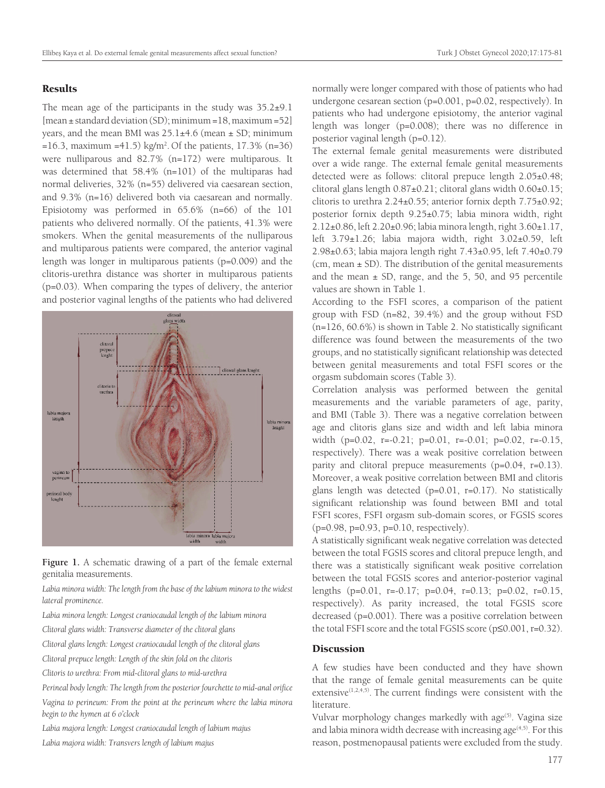#### **Results**

The mean age of the participants in the study was  $35.2\pm9.1$ [mean ± standard deviation (SD); minimum =18, maximum =52] years, and the mean BMI was  $25.1\pm4.6$  (mean  $\pm$  SD; minimum  $=16.3$ , maximum  $=41.5$ ) kg/m<sup>2</sup>. Of the patients, 17.3% (n=36) were nulliparous and 82.7% (n=172) were multiparous. It was determined that 58.4% (n=101) of the multiparas had normal deliveries, 32% (n=55) delivered via caesarean section, and 9.3% (n=16) delivered both via caesarean and normally. Episiotomy was performed in 65.6% (n=66) of the 101 patients who delivered normally. Of the patients, 41.3% were smokers. When the genital measurements of the nulliparous and multiparous patients were compared, the anterior vaginal length was longer in multiparous patients (p=0.009) and the clitoris-urethra distance was shorter in multiparous patients (p=0.03). When comparing the types of delivery, the anterior and posterior vaginal lengths of the patients who had delivered



**Figure 1.** A schematic drawing of a part of the female external genitalia measurements.

Labia minora width: The length from the base of the labium minora to the widest *lateral prominence.*

- *Labia minora length: Longest craniocaudal length of the labium minora*
- *Clitoral glans width: Transverse diameter of the clitoral glans*
- *Clitoral glans length: Longest craniocaudal length of the clitoral glans*
- *Clitoral prepuce length: Length of the skin fold on the clitoris*

*Clitoris to urethra: From mid-clitoral glans to mid-urethra* 

*Perineal body length: The length from the posterior fourchette to mid-anal orifice*

*Vagina to perineum: From the point at the perineum where the labia minora begin to the hymen at 6 o'clock*

*Labia majora length: Longest craniocaudal length of labium majus*

*Labia majora width: Transvers length of labium majus*

normally were longer compared with those of patients who had undergone cesarean section (p=0.001, p=0.02, respectively). In patients who had undergone episiotomy, the anterior vaginal length was longer (p=0.008); there was no difference in posterior vaginal length (p=0.12).

The external female genital measurements were distributed over a wide range. The external female genital measurements detected were as follows: clitoral prepuce length 2.05±0.48; clitoral glans length 0.87±0.21; clitoral glans width 0.60±0.15; clitoris to urethra 2.24±0.55; anterior fornix depth 7.75±0.92; posterior fornix depth 9.25±0.75; labia minora width, right 2.12±0.86, left 2.20±0.96; labia minora length, right 3.60±1.17, left  $3.79\pm1.26$ ; labia majora width, right  $3.02\pm0.59$ , left 2.98±0.63; labia majora length right 7.43±0.95, left 7.40±0.79 (cm, mean  $\pm$  SD). The distribution of the genital measurements and the mean  $\pm$  SD, range, and the 5, 50, and 95 percentile values are shown in Table 1.

According to the FSFI scores, a comparison of the patient group with FSD (n=82, 39.4%) and the group without FSD (n=126, 60.6%) is shown in Table 2. No statistically significant difference was found between the measurements of the two groups, and no statistically significant relationship was detected between genital measurements and total FSFI scores or the orgasm subdomain scores (Table 3).

Correlation analysis was performed between the genital measurements and the variable parameters of age, parity, and BMI (Table 3). There was a negative correlation between age and clitoris glans size and width and left labia minora width (p=0.02, r=-0.21; p=0.01, r=-0.01; p=0.02, r=-0.15, respectively). There was a weak positive correlation between parity and clitoral prepuce measurements (p=0.04, r=0.13). Moreover, a weak positive correlation between BMI and clitoris glans length was detected (p=0.01, r=0.17). No statistically significant relationship was found between BMI and total FSFI scores, FSFI orgasm sub-domain scores, or FGSIS scores (p=0.98, p=0.93, p=0.10, respectively).

A statistically significant weak negative correlation was detected between the total FGSIS scores and clitoral prepuce length, and there was a statistically significant weak positive correlation between the total FGSIS scores and anterior-posterior vaginal lengths (p=0.01, r=-0.17; p=0.04, r=0.13; p=0.02, r=0.15, respectively). As parity increased, the total FGSIS score decreased (p=0.001). There was a positive correlation between the total FSFI score and the total FGSIS score (p≤0.001, r*=*0.32).

#### **Discussion**

A few studies have been conducted and they have shown that the range of female genital measurements can be quite extensive $(1,2,4,5)$ . The current findings were consistent with the literature.

Vulvar morphology changes markedly with age<sup>(5)</sup>. Vagina size and labia minora width decrease with increasing age $(4,5)$ . For this reason, postmenopausal patients were excluded from the study.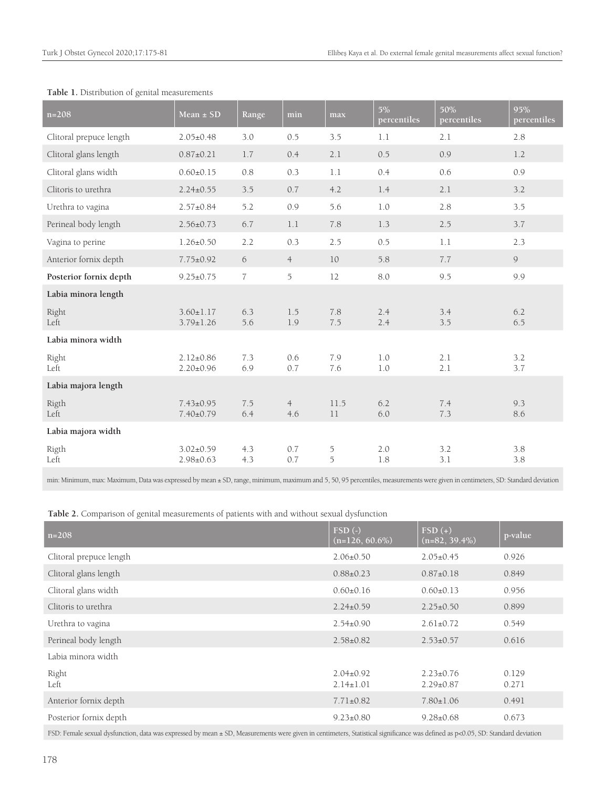| $n = 208$                                                                                                                                                                      | Mean $\pm$ SD                      | Range          | min                   | max        | $5\%$<br>percentiles | 50%<br>percentiles | 95%<br>percentiles |  |
|--------------------------------------------------------------------------------------------------------------------------------------------------------------------------------|------------------------------------|----------------|-----------------------|------------|----------------------|--------------------|--------------------|--|
| Clitoral prepuce length                                                                                                                                                        | $2.05 \pm 0.48$                    | 3.0            | 0.5                   | 3.5        | 1.1                  | 2.1                | 2.8                |  |
| Clitoral glans length                                                                                                                                                          | $0.87 \pm 0.21$                    | 1.7            | 0.4                   | 2.1        | 0.5                  | 0.9                | 1.2                |  |
| Clitoral glans width                                                                                                                                                           | $0.60 \pm 0.15$                    | 0.8            | 0.3                   | $1.1\,$    | 0.4                  | 0.6                | 0.9                |  |
| Clitoris to urethra                                                                                                                                                            | $2.24 \pm 0.55$                    | 3.5            | 0.7                   | 4.2        | 1.4                  | 2.1                | 3.2                |  |
| Urethra to vagina                                                                                                                                                              | $2.57 \pm 0.84$                    | 5.2            | 0.9                   | 5.6        | 1.0                  | 2.8                | 3.5                |  |
| Perineal body length                                                                                                                                                           | $2.56 \pm 0.73$                    | 6.7            | 1.1                   | 7.8        | 1.3                  | 2.5                | 3.7                |  |
| Vagina to perine                                                                                                                                                               | $1.26 \pm 0.50$                    | 2.2            | 0.3                   | 2.5        | 0.5                  | 1.1                | 2.3                |  |
| Anterior fornix depth                                                                                                                                                          | $7.75 \pm 0.92$                    | 6              | $\overline{4}$        | 10         | 5.8                  | 7.7                | $\mathcal{Q}$      |  |
| Posterior fornix depth                                                                                                                                                         | $9.25 \pm 0.75$                    | $\overline{7}$ | 5                     | 12         | 8.0                  | 9.5                | 9.9                |  |
| Labia minora length                                                                                                                                                            |                                    |                |                       |            |                      |                    |                    |  |
| Right<br>Left                                                                                                                                                                  | $3.60 \pm 1.17$<br>$3.79 \pm 1.26$ | 6.3<br>5.6     | 1.5<br>1.9            | 7.8<br>7.5 | 2.4<br>2.4           | 3.4<br>3.5         | 6.2<br>6.5         |  |
| Labia minora width                                                                                                                                                             |                                    |                |                       |            |                      |                    |                    |  |
| Right<br>Left                                                                                                                                                                  | $2.12 \pm 0.86$<br>$2.20 \pm 0.96$ | 7.3<br>6.9     | 0.6<br>0.7            | 7.9<br>7.6 | 1.0<br>1.0           | 2.1<br>2.1         | 3.2<br>3.7         |  |
| Labia majora length                                                                                                                                                            |                                    |                |                       |            |                      |                    |                    |  |
| Rigth<br>Left                                                                                                                                                                  | $7.43 \pm 0.95$<br>$7.40 \pm 0.79$ | 7.5<br>6.4     | $\overline{4}$<br>4.6 | 11.5<br>11 | 6.2<br>6.0           | 7.4<br>7.3         | 9.3<br>8.6         |  |
| Labia majora width                                                                                                                                                             |                                    |                |                       |            |                      |                    |                    |  |
| Rigth<br>Left                                                                                                                                                                  | $3.02 \pm 0.59$<br>$2.98 \pm 0.63$ | 4.3<br>4.3     | 0.7<br>0.7            | 5<br>5     | 2.0<br>1.8           | 3.2<br>3.1         | 3.8<br>3.8         |  |
| min: Minimum, max: Maximum, Data was expressed by mean ± SD, range, minimum, maximum and 5, 50, 95 percentiles, measurements were given in centimeters, SD: Standard deviation |                                    |                |                       |            |                      |                    |                    |  |

#### **Table 1.** Distribution of genital measurements

**Table 2.** Comparison of genital measurements of patients with and without sexual dysfunction

| $FSD$ (-)<br>$(n=126, 60.6\%)$   | $FSD(+)$<br>$(n=82, 39.4\%)$       | p-value        |
|----------------------------------|------------------------------------|----------------|
| $2.06 \pm 0.50$                  | $2.05 \pm 0.45$                    | 0.926          |
| $0.88 \pm 0.23$                  | $0.87 \pm 0.18$                    | 0.849          |
| $0.60 \pm 0.16$                  | $0.60 \pm 0.13$                    | 0.956          |
| $2.24 \pm 0.59$                  | $2.25 \pm 0.50$                    | 0.899          |
| $2.54 \pm 0.90$                  | $2.61 \pm 0.72$                    | 0.549          |
| $2.58 \pm 0.82$                  | $2.53 \pm 0.57$                    | 0.616          |
|                                  |                                    |                |
| $2.04\pm0.92$<br>$2.14 \pm 1.01$ | $2.23 \pm 0.76$<br>$2.29 \pm 0.87$ | 0.129<br>0.271 |
| $7.71 \pm 0.82$                  | $7.80 \pm 1.06$                    | 0.491          |
| $9.23 \pm 0.80$                  | $9.28 \pm 0.68$                    | 0.673          |
|                                  |                                    |                |

FSD: Female sexual dysfunction, data was expressed by mean ± SD, Measurements were given in centimeters, Statistical significance was defined as p<0.05, SD: Standard deviation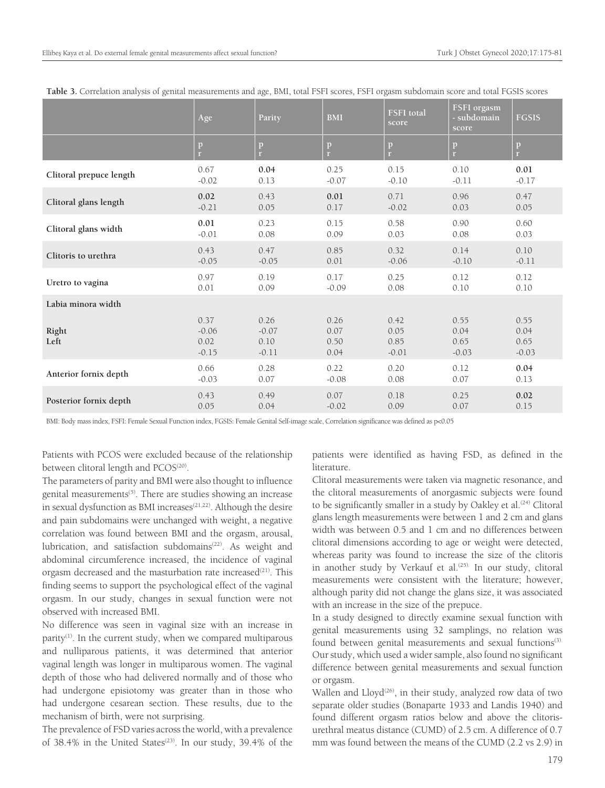|                         | Age                                | Parity                             | <b>BMI</b>                   | <b>FSFI</b> total<br>score      | FSFI orgasm<br>- subdomain<br>score | <b>FGSIS</b>                    |
|-------------------------|------------------------------------|------------------------------------|------------------------------|---------------------------------|-------------------------------------|---------------------------------|
|                         | $\, {\bf p}$<br>r.                 | p                                  | p<br>r.                      | $\mathbf{p}$<br>r.              | p<br>$\mathbf{r}$                   | $\, {\bf p}$<br>r               |
| Clitoral prepuce length | 0.67                               | 0.04                               | 0.25                         | 0.15                            | 0.10                                | 0.01                            |
|                         | $-0.02$                            | 0.13                               | $-0.07$                      | $-0.10$                         | $-0.11$                             | $-0.17$                         |
| Clitoral glans length   | 0.02                               | 0.43                               | 0.01                         | 0.71                            | 0.96                                | 0.47                            |
|                         | $-0.21$                            | 0.05                               | 0.17                         | $-0.02$                         | 0.03                                | 0.05                            |
| Clitoral glans width    | $0.01\,$                           | 0.23                               | 0.15                         | 0.58                            | 0.90                                | 0.60                            |
|                         | $-0.01$                            | 0.08                               | 0.09                         | 0.03                            | 0.08                                | 0.03                            |
| Clitoris to urethra     | 0.43                               | 0.47                               | 0.85                         | 0.32                            | 0.14                                | 0.10                            |
|                         | $-0.05$                            | $-0.05$                            | 0.01                         | $-0.06$                         | $-0.10$                             | $-0.11$                         |
| Uretro to vagina        | 0.97                               | 0.19                               | 0.17                         | 0.25                            | 0.12                                | 0.12                            |
|                         | 0.01                               | 0.09                               | $-0.09$                      | 0.08                            | 0.10                                | 0.10                            |
| Labia minora width      |                                    |                                    |                              |                                 |                                     |                                 |
| Right<br>Left           | 0.37<br>$-0.06$<br>0.02<br>$-0.15$ | 0.26<br>$-0.07$<br>0.10<br>$-0.11$ | 0.26<br>0.07<br>0.50<br>0.04 | 0.42<br>0.05<br>0.85<br>$-0.01$ | 0.55<br>0.04<br>0.65<br>$-0.03$     | 0.55<br>0.04<br>0.65<br>$-0.03$ |
| Anterior fornix depth   | 0.66                               | 0.28                               | 0.22                         | 0.20                            | 0.12                                | 0.04                            |
|                         | $-0.03$                            | 0.07                               | $-0.08$                      | 0.08                            | 0.07                                | 0.13                            |
| Posterior fornix depth  | 0.43                               | 0.49                               | 0.07                         | 0.18                            | 0.25                                | 0.02                            |
|                         | 0.05                               | 0.04                               | $-0.02$                      | 0.09                            | 0.07                                | 0.15                            |

**Table 3.** Correlation analysis of genital measurements and age, BMI, total FSFI scores, FSFI orgasm subdomain score and total FGSIS scores

BMI: Body mass index, FSFI: Female Sexual Function index, FGSIS: Female Genital Self-image scale, Correlation significance was defined as p<0.05

Patients with PCOS were excluded because of the relationship between clitoral length and PCOS<sup>(20)</sup>.

The parameters of parity and BMI were also thought to influence genital measurements<sup>(5)</sup>. There are studies showing an increase in sexual dysfunction as BMI increases<sup>(21,22)</sup>. Although the desire and pain subdomains were unchanged with weight, a negative correlation was found between BMI and the orgasm, arousal, lubrication, and satisfaction subdomains<sup>(22)</sup>. As weight and abdominal circumference increased, the incidence of vaginal orgasm decreased and the masturbation rate increased<sup>(21)</sup>. This finding seems to support the psychological effect of the vaginal orgasm. In our study, changes in sexual function were not observed with increased BMI.

No difference was seen in vaginal size with an increase in parity<sup>(1)</sup>. In the current study, when we compared multiparous and nulliparous patients, it was determined that anterior vaginal length was longer in multiparous women. The vaginal depth of those who had delivered normally and of those who had undergone episiotomy was greater than in those who had undergone cesarean section. These results, due to the mechanism of birth, were not surprising.

The prevalence of FSD varies across the world, with a prevalence of 38.4% in the United States<sup> $(23)$ </sup>. In our study, 39.4% of the

patients were identified as having FSD, as defined in the literature.

Clitoral measurements were taken via magnetic resonance, and the clitoral measurements of anorgasmic subjects were found to be significantly smaller in a study by Oakley et al.<sup>(24)</sup> Clitoral glans length measurements were between 1 and 2 cm and glans width was between 0.5 and 1 cm and no differences between clitoral dimensions according to age or weight were detected, whereas parity was found to increase the size of the clitoris in another study by Verkauf et al.<sup>(25).</sup> In our study, clitoral measurements were consistent with the literature; however, although parity did not change the glans size, it was associated with an increase in the size of the prepuce.

In a study designed to directly examine sexual function with genital measurements using 32 samplings, no relation was found between genital measurements and sexual functions<sup>(3).</sup> Our study, which used a wider sample, also found no significant difference between genital measurements and sexual function or orgasm.

Wallen and Lloyd<sup>(26)</sup>, in their study, analyzed row data of two separate older studies (Bonaparte 1933 and Landis 1940) and found different orgasm ratios below and above the clitorisurethral meatus distance (CUMD) of 2.5 cm. A difference of 0.7 mm was found between the means of the CUMD (2.2 vs 2.9) in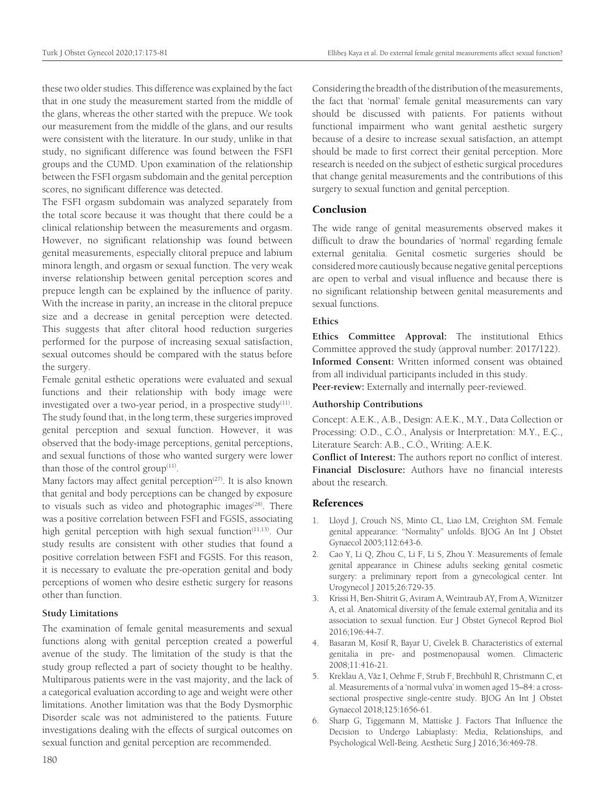these two older studies. This difference was explained by the fact that in one study the measurement started from the middle of the glans, whereas the other started with the prepuce. We took our measurement from the middle of the glans, and our results were consistent with the literature. In our study, unlike in that study, no significant difference was found between the FSFI groups and the CUMD. Upon examination of the relationship between the FSFI orgasm subdomain and the genital perception scores, no significant difference was detected.

The FSFI orgasm subdomain was analyzed separately from the total score because it was thought that there could be a clinical relationship between the measurements and orgasm. However, no significant relationship was found between genital measurements, especially clitoral prepuce and labium minora length, and orgasm or sexual function. The very weak inverse relationship between genital perception scores and prepuce length can be explained by the influence of parity. With the increase in parity, an increase in the clitoral prepuce size and a decrease in genital perception were detected. This suggests that after clitoral hood reduction surgeries performed for the purpose of increasing sexual satisfaction, sexual outcomes should be compared with the status before the surgery.

Female genital esthetic operations were evaluated and sexual functions and their relationship with body image were investigated over a two-year period, in a prospective study $(11)$ . The study found that, in the long term, these surgeries improved genital perception and sexual function. However, it was observed that the body-image perceptions, genital perceptions, and sexual functions of those who wanted surgery were lower than those of the control group $(11)$ .

Many factors may affect genital perception<sup>(27)</sup>. It is also known that genital and body perceptions can be changed by exposure to visuals such as video and photographic images $(28)$ . There was a positive correlation between FSFI and FGSIS, associating high genital perception with high sexual function<sup> $(11,13)$ </sup>. Our study results are consistent with other studies that found a positive correlation between FSFI and FGSIS. For this reason, it is necessary to evaluate the pre-operation genital and body perceptions of women who desire esthetic surgery for reasons other than function.

#### **Study Limitations**

The examination of female genital measurements and sexual functions along with genital perception created a powerful avenue of the study. The limitation of the study is that the study group reflected a part of society thought to be healthy. Multiparous patients were in the vast majority, and the lack of a categorical evaluation according to age and weight were other limitations. Another limitation was that the Body Dysmorphic Disorder scale was not administered to the patients. Future investigations dealing with the effects of surgical outcomes on sexual function and genital perception are recommended.

Considering the breadth of the distribution of the measurements, the fact that 'normal' female genital measurements can vary should be discussed with patients. For patients without functional impairment who want genital aesthetic surgery because of a desire to increase sexual satisfaction, an attempt should be made to first correct their genital perception. More research is needed on the subject of esthetic surgical procedures that change genital measurements and the contributions of this surgery to sexual function and genital perception.

#### **Conclusion**

The wide range of genital measurements observed makes it difficult to draw the boundaries of 'normal' regarding female external genitalia. Genital cosmetic surgeries should be considered more cautiously because negative genital perceptions are open to verbal and visual influence and because there is no significant relationship between genital measurements and sexual functions.

#### **Ethics**

**Ethics Committee Approval:** The institutional Ethics Committee approved the study (approval number: 2017/122). **Informed Consent:** Written informed consent was obtained from all individual participants included in this study.

**Peer-review:** Externally and internally peer-reviewed.

#### **Authorship Contributions**

Concept: A.E.K., A.B., Design: A.E.K., M.Y., Data Collection or Processing: O.D., C.Ö., Analysis or Interpretation: M.Y., E.Ç., Literature Search: A.B., C.Ö., Writing: A.E.K.

**Conflict of Interest:** The authors report no conflict of interest. **Financial Disclosure:** Authors have no financial interests about the research.

#### References

- 1. Lloyd J, Crouch NS, Minto CL, Liao LM, Creighton SM. Female genital appearance: "Normality" unfolds. BJOG An Int J Obstet Gynaecol 2005;112:643-6.
- 2. Cao Y, Li Q, Zhou C, Li F, Li S, Zhou Y. Measurements of female genital appearance in Chinese adults seeking genital cosmetic surgery: a preliminary report from a gynecological center. Int Urogynecol J 2015;26:729-35.
- 3. Krissi H, Ben-Shitrit G, Aviram A, Weintraub AY, From A, Wiznitzer A, et al. Anatomical diversity of the female external genitalia and its association to sexual function. Eur J Obstet Gynecol Reprod Biol 2016;196:44-7.
- 4. Basaran M, Kosif R, Bayar U, Civelek B. Characteristics of external genitalia in pre- and postmenopausal women. Climacteric 2008;11:416-21.
- 5. Kreklau A, Vâz I, Oehme F, Strub F, Brechbühl R, Christmann C, et al. Measurements of a 'normal vulva' in women aged 15–84: a crosssectional prospective single-centre study. BJOG An Int J Obstet Gynaecol 2018;125:1656-61.
- 6. Sharp G, Tiggemann M, Mattiske J. Factors That Influence the Decision to Undergo Labiaplasty: Media, Relationships, and Psychological Well-Being. Aesthetic Surg J 2016;36:469-78.